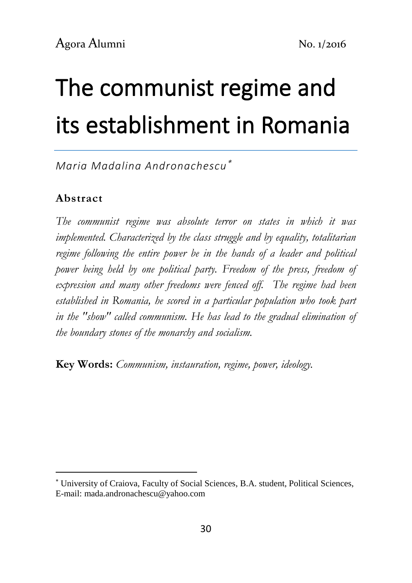# The communist regime and its establishment in Romania

*Maria Madalina Andronachescu*

#### **Abstract**

-

*The communist regime was absolute terror on states in which it was implemented. Characterized by the class struggle and by equality, totalitarian regime following the entire power be in the hands of a leader and political power being held by one political party. Freedom of the press, freedom of expression and many other freedoms were fenced off. The regime had been established in Romania, he scored in a particular population who took part in the "show" called communism. He has lead to the gradual elimination of the boundary stones of the monarchy and socialism.*

**Key Words:** *Communism, instauration, regime, power, ideology.*

University of Craiova, Faculty of Social Sciences, B.A. student, Political Sciences, E-mail: mada.andronachescu@yahoo.com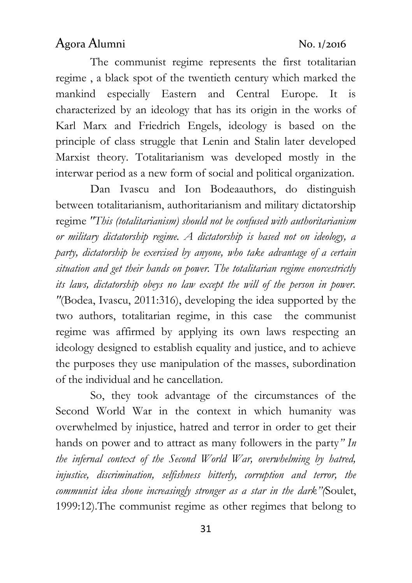The communist regime represents the first totalitarian regime , a black spot of the twentieth century which marked the mankind especially Eastern and Central Europe. It is characterized by an ideology that has its origin in the works of Karl Marx and Friedrich Engels, ideology is based on the principle of class struggle that Lenin and Stalin later developed Marxist theory. Totalitarianism was developed mostly in the interwar period as a new form of social and political organization.

Dan Ivascu and Ion Bodeaauthors, do distinguish between totalitarianism, authoritarianism and military dictatorship regime *"This (totalitarianism) should not be confused with authoritarianism or military dictatorship regime. A dictatorship is based not on ideology, a party, dictatorship be exercised by anyone, who take advantage of a certain situation and get their hands on power. The totalitarian regime enorcestrictly its laws, dictatorship obeys no law except the will of the person in power. "*(Bodea, Ivascu, 2011:316), developing the idea supported by the two authors, totalitarian regime, in this case the communist regime was affirmed by applying its own laws respecting an ideology designed to establish equality and justice, and to achieve the purposes they use manipulation of the masses, subordination of the individual and he cancellation.

So, they took advantage of the circumstances of the Second World War in the context in which humanity was overwhelmed by injustice, hatred and terror in order to get their hands on power and to attract as many followers in the party*" In the infernal context of the Second World War, overwhelming by hatred, injustice, discrimination, selfishness bitterly, corruption and terror, the communist idea shone increasingly stronger as a star in the dark"(*Soulet, 1999:12).The communist regime as other regimes that belong to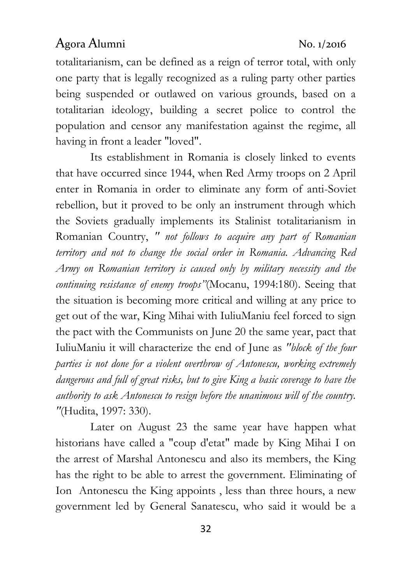totalitarianism, can be defined as a reign of terror total, with only one party that is legally recognized as a ruling party other parties being suspended or outlawed on various grounds, based on a totalitarian ideology, building a secret police to control the population and censor any manifestation against the regime, all having in front a leader "loved".

Its establishment in Romania is closely linked to events that have occurred since 1944, when Red Army troops on 2 April enter in Romania in order to eliminate any form of anti-Soviet rebellion, but it proved to be only an instrument through which the Soviets gradually implements its Stalinist totalitarianism in Romanian Country, *" not follows to acquire any part of Romanian territory and not to change the social order in Romania. Advancing Red Army on Romanian territory is caused only by military necessity and the continuing resistance of enemy troops"*(Mocanu, 1994:180). Seeing that the situation is becoming more critical and willing at any price to get out of the war, King Mihai with IuliuManiu feel forced to sign the pact with the Communists on June 20 the same year, pact that IuliuManiu it will characterize the end of June as *"block of the four parties is not done for a violent overthrow of Antonescu, working extremely dangerous and full of great risks, but to give King a basic coverage to have the authority to ask Antonescu to resign before the unanimous will of the country. "*(Hudita, 1997: 330).

Later on August 23 the same year have happen what historians have called a "coup d'etat" made by King Mihai I on the arrest of Marshal Antonescu and also its members, the King has the right to be able to arrest the government. Eliminating of Ion Antonescu the King appoints , less than three hours, a new government led by General Sanatescu, who said it would be a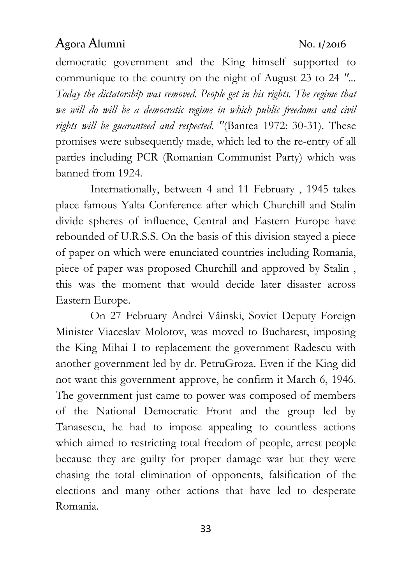democratic government and the King himself supported to communique to the country on the night of August 23 to 24 *"... Today the dictatorship was removed. People get in his rights. The regime that we will do will be a democratic regime in which public freedoms and civil rights will be guaranteed and respected. "*(Bantea 1972: 30-31). These promises were subsequently made, which led to the re-entry of all parties including PCR (Romanian Communist Party) which was banned from 1924.

Internationally, between 4 and 11 February , 1945 takes place famous Yalta Conference after which Churchill and Stalin divide spheres of influence, Central and Eastern Europe have rebounded of U.R.S.S. On the basis of this division stayed a piece of paper on which were enunciated countries including Romania, piece of paper was proposed Churchill and approved by Stalin , this was the moment that would decide later disaster across Eastern Europe.

On 27 February Andrei Vâinski, Soviet Deputy Foreign Minister Viaceslav Molotov, was moved to Bucharest, imposing the King Mihai I to replacement the government Radescu with another government led by dr. PetruGroza. Even if the King did not want this government approve, he confirm it March 6, 1946. The government just came to power was composed of members of the National Democratic Front and the group led by Tanasescu, he had to impose appealing to countless actions which aimed to restricting total freedom of people, arrest people because they are guilty for proper damage war but they were chasing the total elimination of opponents, falsification of the elections and many other actions that have led to desperate Romania.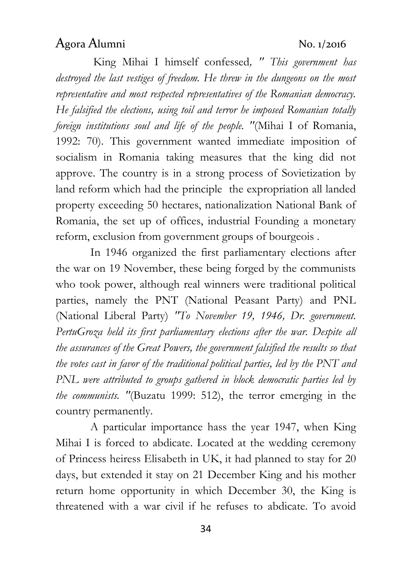King Mihai I himself confessed*, '' This government has destroyed the last vestiges of freedom. He threw in the dungeons on the most representative and most respected representatives of the Romanian democracy. He falsified the elections, using toil and terror he imposed Romanian totally foreign institutions soul and life of the people. "*(Mihai I of Romania, 1992: 70). This government wanted immediate imposition of socialism in Romania taking measures that the king did not approve. The country is in a strong process of Sovietization by land reform which had the principle the expropriation all landed property exceeding 50 hectares, nationalization National Bank of Romania, the set up of offices, industrial Founding a monetary reform, exclusion from government groups of bourgeois .

In 1946 organized the first parliamentary elections after the war on 19 November, these being forged by the communists who took power, although real winners were traditional political parties, namely the PNT (National Peasant Party) and PNL (National Liberal Party) *"To November 19, 1946, Dr. government. PertuGroza held its first parliamentary elections after the war. Despite all the assurances of the Great Powers, the government falsified the results so that the votes cast in favor of the traditional political parties, led by the PNT and PNL were attributed to groups gathered in block democratic parties led by the communists. "*(Buzatu 1999: 512), the terror emerging in the country permanently.

A particular importance hass the year 1947, when King Mihai I is forced to abdicate. Located at the wedding ceremony of Princess heiress Elisabeth in UK, it had planned to stay for 20 days, but extended it stay on 21 December King and his mother return home opportunity in which December 30, the King is threatened with a war civil if he refuses to abdicate. To avoid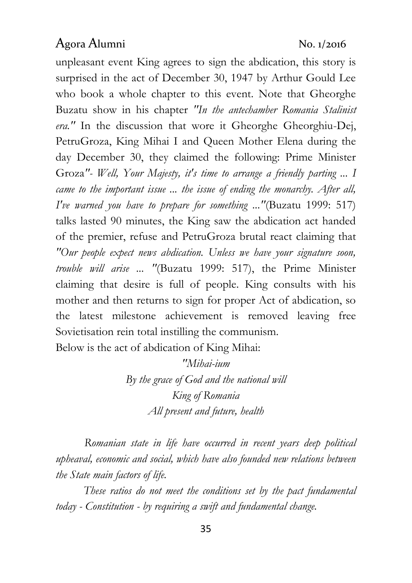unpleasant event King agrees to sign the abdication, this story is surprised in the act of December 30, 1947 by Arthur Gould Lee who book a whole chapter to this event. Note that Gheorghe Buzatu show in his chapter *"In the antechamber Romania Stalinist era."* In the discussion that wore it Gheorghe Gheorghiu-Dej, PetruGroza, King Mihai I and Queen Mother Elena during the day December 30, they claimed the following: Prime Minister Groza*"- Well, Your Majesty, it's time to arrange a friendly parting ... I came to the important issue ... the issue of ending the monarchy. After all, I've warned you have to prepare for something ..."*(Buzatu 1999: 517) talks lasted 90 minutes, the King saw the abdication act handed of the premier, refuse and PetruGroza brutal react claiming that *"Our people expect news abdication. Unless we have your signature soon, trouble will arise ... "*(Buzatu 1999: 517), the Prime Minister claiming that desire is full of people. King consults with his mother and then returns to sign for proper Act of abdication, so the latest milestone achievement is removed leaving free Sovietisation rein total instilling the communism.

Below is the act of abdication of King Mihai:

*"Mihai-ium By the grace of God and the national will King of Romania All present and future, health*

 *Romanian state in life have occurred in recent years deep political upheaval, economic and social, which have also founded new relations between the State main factors of life.*

 *These ratios do not meet the conditions set by the pact fundamental today - Constitution - by requiring a swift and fundamental change.*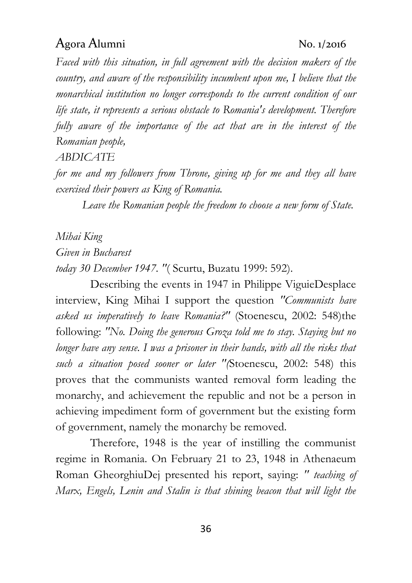*Faced with this situation, in full agreement with the decision makers of the country, and aware of the responsibility incumbent upon me, I believe that the monarchical institution no longer corresponds to the current condition of our life state, it represents a serious obstacle to Romania's development. Therefore fully aware of the importance of the act that are in the interest of the Romanian people,*

*ABDICATE*

*for me and my followers from Throne, giving up for me and they all have exercised their powers as King of Romania.*

 *Leave the Romanian people the freedom to choose a new form of State.*

*Mihai King Given in Bucharest today 30 December 1947. "*( Scurtu, Buzatu 1999: 592).

Describing the events in 1947 in Philippe ViguieDesplace interview, King Mihai I support the question *"Communists have asked us imperatively to leave Romania?"* (Stoenescu, 2002: 548)the following: *"No. Doing the generous Groza told me to stay. Staying but no longer have any sense. I was a prisoner in their hands, with all the risks that such a situation posed sooner or later "(*Stoenescu, 2002: 548) this proves that the communists wanted removal form leading the monarchy, and achievement the republic and not be a person in achieving impediment form of government but the existing form of government, namely the monarchy be removed.

Therefore, 1948 is the year of instilling the communist regime in Romania. On February 21 to 23, 1948 in Athenaeum Roman GheorghiuDej presented his report, saying: *'' teaching of Marx, Engels, Lenin and Stalin is that shining beacon that will light the*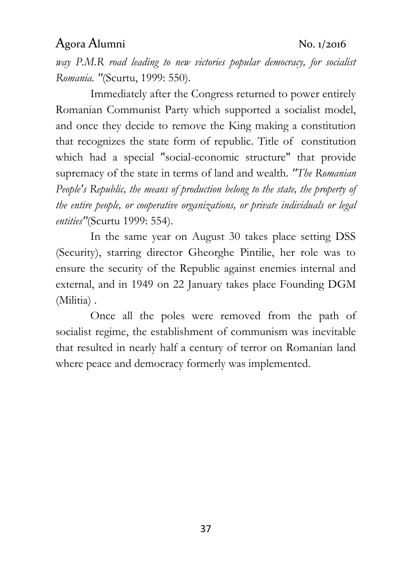*way P.M.R road leading to new victories popular democracy, for socialist Romania. "*(Scurtu, 1999: 550).

Immediately after the Congress returned to power entirely Romanian Communist Party which supported a socialist model, and once they decide to remove the King making a constitution that recognizes the state form of republic. Title of constitution which had a special "social-economic structure" that provide supremacy of the state in terms of land and wealth. *"The Romanian People's Republic, the means of production belong to the state, the property of the entire people, or cooperative organizations, or private individuals or legal entities"*(Scurtu 1999: 554).

In the same year on August 30 takes place setting DSS (Security), starring director Gheorghe Pintilie, her role was to ensure the security of the Republic against enemies internal and external, and in 1949 on 22 January takes place Founding DGM (Militia).

Once all the poles were removed from the path of socialist regime, the establishment of communism was inevitable that resulted in nearly half a century of terror on Romanian land where peace and democracy formerly was implemented.